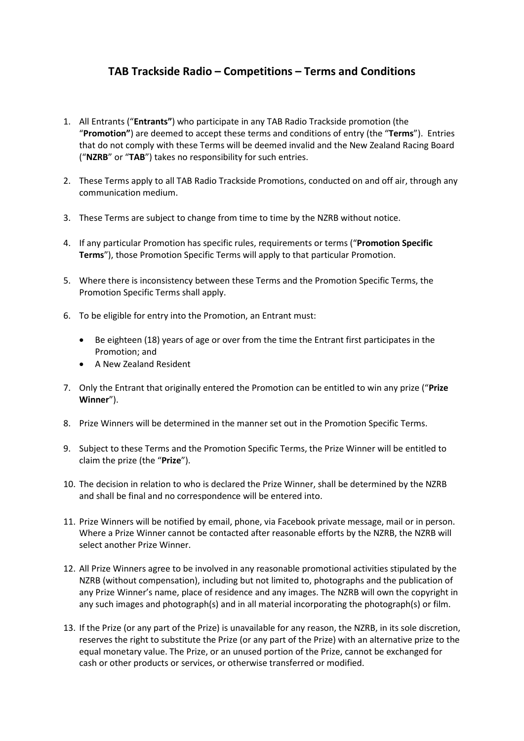## **TAB Trackside Radio – Competitions – Terms and Conditions**

- 1. All Entrants ("**Entrants"**) who participate in any TAB Radio Trackside promotion (the "**Promotion"**) are deemed to accept these terms and conditions of entry (the "**Terms**"). Entries that do not comply with these Terms will be deemed invalid and the New Zealand Racing Board ("**NZRB**" or "**TAB**") takes no responsibility for such entries.
- 2. These Terms apply to all TAB Radio Trackside Promotions, conducted on and off air, through any communication medium.
- 3. These Terms are subject to change from time to time by the NZRB without notice.
- 4. If any particular Promotion has specific rules, requirements or terms ("**Promotion Specific Terms**"), those Promotion Specific Terms will apply to that particular Promotion.
- 5. Where there is inconsistency between these Terms and the Promotion Specific Terms, the Promotion Specific Terms shall apply.
- 6. To be eligible for entry into the Promotion, an Entrant must:
	- Be eighteen (18) years of age or over from the time the Entrant first participates in the Promotion; and
	- A New Zealand Resident
- 7. Only the Entrant that originally entered the Promotion can be entitled to win any prize ("**Prize Winner**").
- 8. Prize Winners will be determined in the manner set out in the Promotion Specific Terms.
- 9. Subject to these Terms and the Promotion Specific Terms, the Prize Winner will be entitled to claim the prize (the "**Prize**").
- 10. The decision in relation to who is declared the Prize Winner, shall be determined by the NZRB and shall be final and no correspondence will be entered into.
- 11. Prize Winners will be notified by email, phone, via Facebook private message, mail or in person. Where a Prize Winner cannot be contacted after reasonable efforts by the NZRB, the NZRB will select another Prize Winner.
- 12. All Prize Winners agree to be involved in any reasonable promotional activities stipulated by the NZRB (without compensation), including but not limited to, photographs and the publication of any Prize Winner's name, place of residence and any images. The NZRB will own the copyright in any such images and photograph(s) and in all material incorporating the photograph(s) or film.
- 13. If the Prize (or any part of the Prize) is unavailable for any reason, the NZRB, in its sole discretion, reserves the right to substitute the Prize (or any part of the Prize) with an alternative prize to the equal monetary value. The Prize, or an unused portion of the Prize, cannot be exchanged for cash or other products or services, or otherwise transferred or modified.